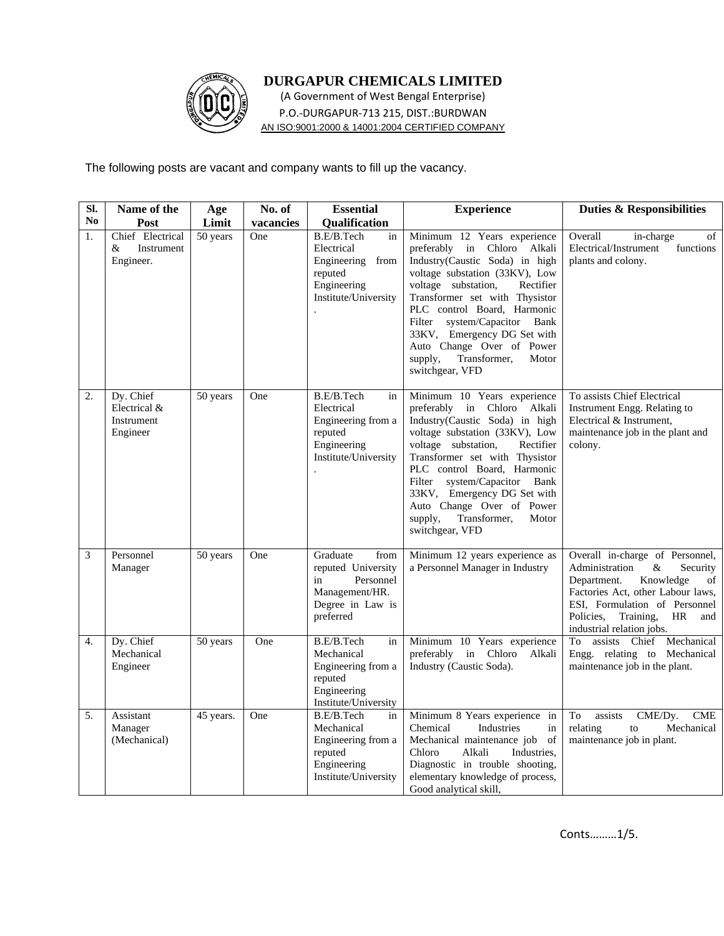

## **DURGAPUR CHEMICALS LIMITED**

(A Government of West Bengal Enterprise) P.O.‐DURGAPUR‐713 215, DIST.:BURDWAN AN ISO:9001:2000 & 14001:2004 CERTIFIED COMPANY

The following posts are vacant and company wants to fill up the vacancy.

| SI. | Name of the                                         | Age       | No. of    | <b>Essential</b>                                                                                             | <b>Experience</b>                                                                                                                                                                                                                                                                                                                                                                               | <b>Duties &amp; Responsibilities</b>                                                                                                                                                                                                              |
|-----|-----------------------------------------------------|-----------|-----------|--------------------------------------------------------------------------------------------------------------|-------------------------------------------------------------------------------------------------------------------------------------------------------------------------------------------------------------------------------------------------------------------------------------------------------------------------------------------------------------------------------------------------|---------------------------------------------------------------------------------------------------------------------------------------------------------------------------------------------------------------------------------------------------|
| No. | Post                                                | Limit     | vacancies | <b>Qualification</b>                                                                                         |                                                                                                                                                                                                                                                                                                                                                                                                 |                                                                                                                                                                                                                                                   |
| 1.  | Chief Electrical<br>&<br>Instrument<br>Engineer.    | 50 years  | One       | B.E/B.Tech<br>in<br>Electrical<br>Engineering from<br>reputed<br>Engineering<br>Institute/University         | Minimum 12 Years experience<br>preferably in Chloro Alkali<br>Industry(Caustic Soda) in high<br>voltage substation (33KV), Low<br>voltage substation,<br>Rectifier<br>Transformer set with Thysistor<br>PLC control Board, Harmonic<br>Filter<br>system/Capacitor<br>Bank<br>33KV, Emergency DG Set with<br>Auto Change Over of Power<br>Transformer,<br>supply,<br>Motor<br>switchgear, VFD    | Overall<br>in-charge<br>of<br>Electrical/Instrument<br>functions<br>plants and colony.                                                                                                                                                            |
| 2.  | Dy. Chief<br>Electrical &<br>Instrument<br>Engineer | 50 years  | One       | B.E/B.Tech<br>in<br>Electrical<br>Engineering from a<br>reputed<br>Engineering<br>Institute/University       | Minimum 10 Years experience<br>preferably in Chloro<br>Alkali<br>Industry(Caustic Soda) in high<br>voltage substation (33KV), Low<br>voltage substation,<br>Rectifier<br>Transformer set with Thysistor<br>PLC control Board, Harmonic<br>Filter<br>system/Capacitor<br>Bank<br>33KV, Emergency DG Set with<br>Auto Change Over of Power<br>Transformer,<br>supply,<br>Motor<br>switchgear, VFD | To assists Chief Electrical<br>Instrument Engg. Relating to<br>Electrical & Instrument,<br>maintenance job in the plant and<br>colony.                                                                                                            |
| 3   | Personnel<br>Manager                                | 50 years  | One       | Graduate<br>from<br>reputed University<br>Personnel<br>in<br>Management/HR.<br>Degree in Law is<br>preferred | Minimum 12 years experience as<br>a Personnel Manager in Industry                                                                                                                                                                                                                                                                                                                               | Overall in-charge of Personnel,<br>Administration<br>$\&$<br>Security<br>Department.<br>Knowledge<br>of<br>Factories Act, other Labour laws,<br>ESI, Formulation of Personnel<br>Policies,<br>Training,<br>HR<br>and<br>industrial relation jobs. |
| 4.  | Dy. Chief<br>Mechanical<br>Engineer                 | 50 years  | One       | B.E/B.Tech<br>in<br>Mechanical<br>Engineering from a<br>reputed<br>Engineering<br>Institute/University       | Minimum 10 Years experience<br>preferably<br>in Chloro<br>Alkali<br>Industry (Caustic Soda).                                                                                                                                                                                                                                                                                                    | assists Chief Mechanical<br>To<br>Engg. relating to Mechanical<br>maintenance job in the plant.                                                                                                                                                   |
| 5.  | Assistant<br>Manager<br>(Mechanical)                | 45 years. | One       | B.E/B.Tech<br>in<br>Mechanical<br>Engineering from a<br>reputed<br>Engineering<br>Institute/University       | Minimum 8 Years experience in<br>Industries<br>Chemical<br>in<br>Mechanical maintenance job<br>of<br>Chloro<br>Alkali<br>Industries.<br>Diagnostic in trouble shooting,<br>elementary knowledge of process,<br>Good analytical skill,                                                                                                                                                           | To<br>assists<br>CME/Dy.<br><b>CME</b><br>relating<br>Mechanical<br>to<br>maintenance job in plant.                                                                                                                                               |

Conts………1/5.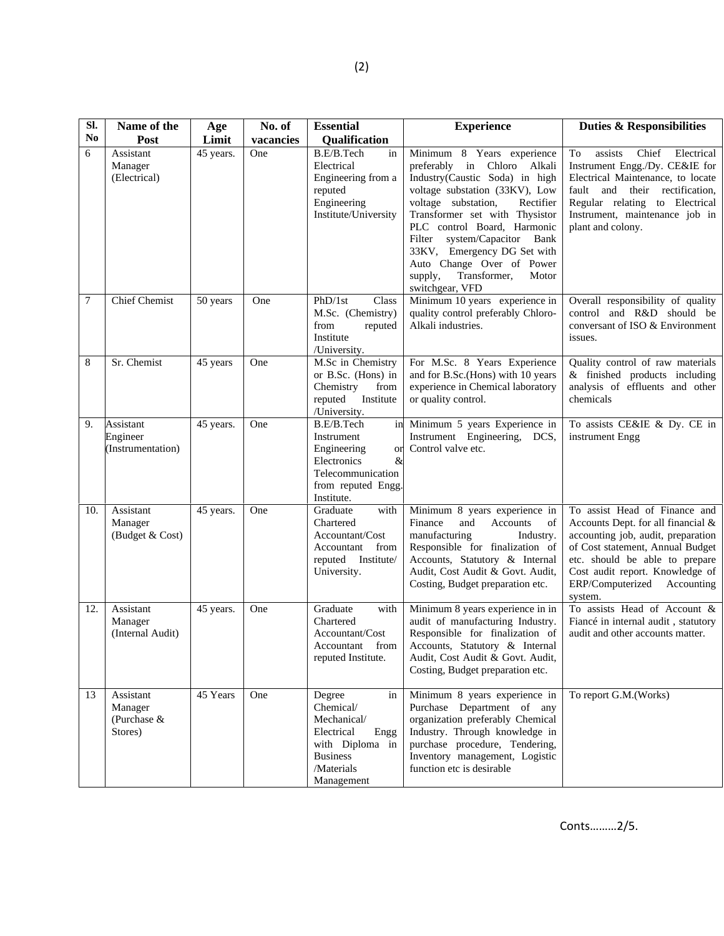| SI.            | Name of the                                    | Age       | No. of    | <b>Essential</b>                                                                                                                 | <b>Experience</b>                                                                                                                                                                                                                                                                                                                                                                           | <b>Duties &amp; Responsibilities</b>                                                                                                                                                                                                                         |
|----------------|------------------------------------------------|-----------|-----------|----------------------------------------------------------------------------------------------------------------------------------|---------------------------------------------------------------------------------------------------------------------------------------------------------------------------------------------------------------------------------------------------------------------------------------------------------------------------------------------------------------------------------------------|--------------------------------------------------------------------------------------------------------------------------------------------------------------------------------------------------------------------------------------------------------------|
| N <sub>0</sub> | Post                                           | Limit     | vacancies | Qualification                                                                                                                    |                                                                                                                                                                                                                                                                                                                                                                                             |                                                                                                                                                                                                                                                              |
| 6              | Assistant<br>Manager<br>(Electrical)           | 45 years. | One       | B.E/B.Tech<br>in<br>Electrical<br>Engineering from a<br>reputed<br>Engineering<br>Institute/University                           | Minimum 8 Years experience<br>preferably in Chloro Alkali<br>Industry(Caustic Soda) in high<br>voltage substation (33KV), Low<br>voltage substation,<br>Rectifier<br>Transformer set with Thysistor<br>PLC control Board, Harmonic<br>system/Capacitor<br>Bank<br>Filter<br>33KV, Emergency DG Set with<br>Auto Change Over of Power<br>Transformer,<br>supply,<br>Motor<br>switchgear, VFD | assists<br>Chief<br>Electrical<br>To<br>Instrument Engg./Dy. CE&IE for<br>Electrical Maintenance, to locate<br>fault and their rectification,<br>Regular relating to Electrical<br>Instrument, maintenance job in<br>plant and colony.                       |
| 7              | <b>Chief Chemist</b>                           | 50 years  | One       | PhD/1st<br>Class<br>M.Sc. (Chemistry)<br>from<br>reputed<br>Institute<br>/University.                                            | Minimum 10 years experience in<br>quality control preferably Chloro-<br>Alkali industries.                                                                                                                                                                                                                                                                                                  | Overall responsibility of quality<br>control and R&D should be<br>conversant of ISO & Environment<br>issues.                                                                                                                                                 |
| 8              | Sr. Chemist                                    | 45 years  | One       | M.Sc in Chemistry<br>or B.Sc. (Hons) in<br>Chemistry<br>from<br>Institute<br>reputed<br>/University.                             | For M.Sc. 8 Years Experience<br>and for B.Sc.(Hons) with 10 years<br>experience in Chemical laboratory<br>or quality control.                                                                                                                                                                                                                                                               | Quality control of raw materials<br>& finished products including<br>analysis of effluents and other<br>chemicals                                                                                                                                            |
| 9.             | Assistant<br>Engineer<br>(Instrumentation)     | 45 years. | One       | B.E/B.Tech<br>in<br>Instrument<br>Engineering<br>or<br>Electronics<br>&<br>Telecommunication<br>from reputed Engg.<br>Institute. | Minimum 5 years Experience in<br>Instrument Engineering, DCS,<br>Control valve etc.                                                                                                                                                                                                                                                                                                         | To assists CE&IE & Dy. CE in<br>instrument Engg                                                                                                                                                                                                              |
| 10.            | Assistant<br>Manager<br>(Budget & Cost)        | 45 years. | One       | Graduate<br>with<br>Chartered<br>Accountant/Cost<br>from<br>Accountant<br>reputed Institute/<br>University.                      | Minimum 8 years experience in<br>Finance<br>and<br>Accounts<br>of<br>manufacturing<br>Industry.<br>Responsible for finalization of<br>Accounts, Statutory & Internal<br>Audit, Cost Audit & Govt. Audit,<br>Costing, Budget preparation etc.                                                                                                                                                | To assist Head of Finance and<br>Accounts Dept. for all financial &<br>accounting job, audit, preparation<br>of Cost statement, Annual Budget<br>etc. should be able to prepare<br>Cost audit report. Knowledge of<br>ERP/Computerized Accounting<br>system. |
| 12.            | Assistant<br>Manager<br>(Internal Audit)       | 45 years. | One       | Graduate<br>with<br>Chartered<br>Accountant/Cost<br>Accountant from<br>reputed Institute.                                        | Minimum 8 years experience in in<br>audit of manufacturing Industry.<br>Responsible for finalization of<br>Accounts, Statutory & Internal<br>Audit, Cost Audit & Govt. Audit,<br>Costing, Budget preparation etc.                                                                                                                                                                           | To assists Head of Account &<br>Fiancé in internal audit, statutory<br>audit and other accounts matter.                                                                                                                                                      |
| 13             | Assistant<br>Manager<br>(Purchase &<br>Stores) | 45 Years  | One       | Degree<br>in<br>Chemical/<br>Mechanical/<br>Electrical<br>Engg<br>with Diploma in<br><b>Business</b><br>/Materials<br>Management | Minimum 8 years experience in<br>Purchase Department of any<br>organization preferably Chemical<br>Industry. Through knowledge in<br>purchase procedure, Tendering,<br>Inventory management, Logistic<br>function etc is desirable                                                                                                                                                          | To report G.M.(Works)                                                                                                                                                                                                                                        |

Conts………2/5.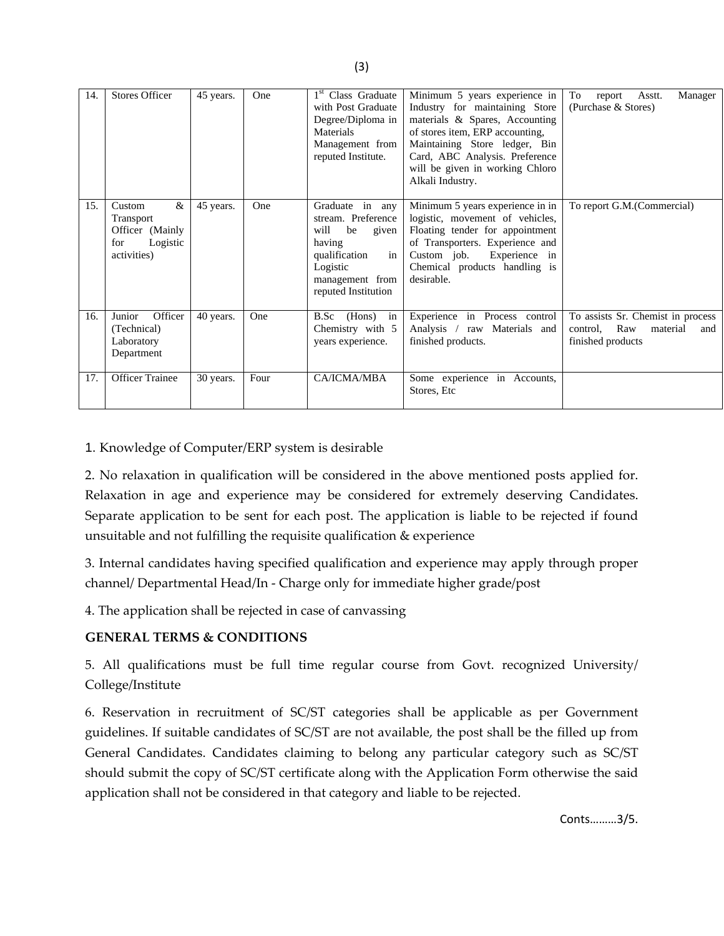| 14. | <b>Stores Officer</b>                                                         | 45 years. | One  | 1 <sup>st</sup> Class Graduate<br>with Post Graduate<br>Degree/Diploma in<br>Materials<br>Management from<br>reputed Institute.                     | Minimum 5 years experience in<br>Industry for maintaining Store<br>materials & Spares, Accounting<br>of stores item, ERP accounting,<br>Maintaining Store ledger, Bin<br>Card, ABC Analysis. Preference<br>will be given in working Chloro<br>Alkali Industry. | To<br>Manager<br>Asstt.<br>report<br>(Purchase & Stores)                                     |
|-----|-------------------------------------------------------------------------------|-----------|------|-----------------------------------------------------------------------------------------------------------------------------------------------------|----------------------------------------------------------------------------------------------------------------------------------------------------------------------------------------------------------------------------------------------------------------|----------------------------------------------------------------------------------------------|
| 15. | &<br>Custom<br>Transport<br>Officer (Mainly<br>Logistic<br>for<br>activities) | 45 years. | One  | Graduate in any<br>stream. Preference<br>be<br>will<br>given<br>having<br>in<br>qualification<br>Logistic<br>management from<br>reputed Institution | Minimum 5 years experience in in<br>logistic, movement of vehicles,<br>Floating tender for appointment<br>of Transporters. Experience and<br>Custom job.<br>Experience in<br>Chemical products handling is<br>desirable.                                       | To report G.M.(Commercial)                                                                   |
| 16. | Junior<br>Officer<br>(Technical)<br>Laboratory<br>Department                  | 40 years. | One  | (Hons)<br>in<br>B.Sc<br>Chemistry with 5<br>years experience.                                                                                       | Experience in Process control<br>Analysis / raw Materials and<br>finished products.                                                                                                                                                                            | To assists Sr. Chemist in process<br>Raw<br>material<br>control.<br>and<br>finished products |
| 17. | <b>Officer Trainee</b>                                                        | 30 years. | Four | CA/ICMA/MBA                                                                                                                                         | Some experience in Accounts,<br>Stores, Etc.                                                                                                                                                                                                                   |                                                                                              |

1. Knowledge of Computer/ERP system is desirable

2. No relaxation in qualification will be considered in the above mentioned posts applied for. Relaxation in age and experience may be considered for extremely deserving Candidates. Separate application to be sent for each post. The application is liable to be rejected if found unsuitable and not fulfilling the requisite qualification & experience

3. Internal candidates having specified qualification and experience may apply through proper channel/ Departmental Head/In ‐ Charge only for immediate higher grade/post

4. The application shall be rejected in case of canvassing

## **GENERAL TERMS & CONDITIONS**

5. All qualifications must be full time regular course from Govt. recognized University/ College/Institute

6. Reservation in recruitment of SC/ST categories shall be applicable as per Government guidelines. If suitable candidates of SC/ST are not available, the post shall be the filled up from General Candidates. Candidates claiming to belong any particular category such as SC/ST should submit the copy of SC/ST certificate along with the Application Form otherwise the said application shall not be considered in that category and liable to be rejected.

(3)

Conts………3/5.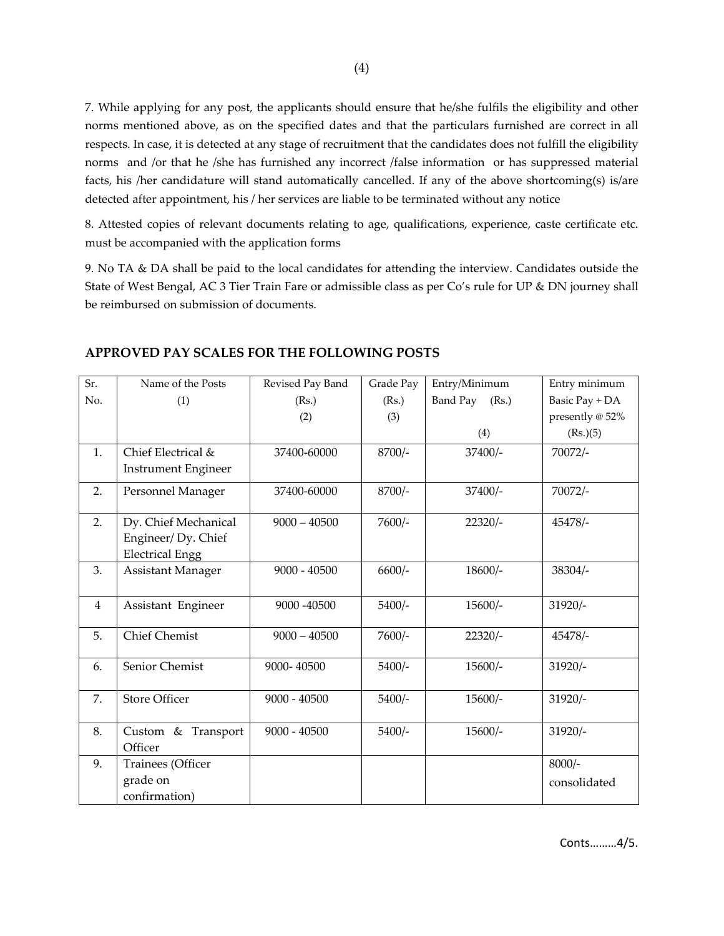7. While applying for any post, the applicants should ensure that he/she fulfils the eligibility and other norms mentioned above, as on the specified dates and that the particulars furnished are correct in all respects. In case, it is detected at any stage of recruitment that the candidates does not fulfill the eligibility norms and /or that he /she has furnished any incorrect /false information or has suppressed material facts, his /her candidature will stand automatically cancelled. If any of the above shortcoming(s) is/are detected after appointment, his / her services are liable to be terminated without any notice

8. Attested copies of relevant documents relating to age, qualifications, experience, caste certificate etc. must be accompanied with the application forms

9. No TA & DA shall be paid to the local candidates for attending the interview. Candidates outside the State of West Bengal, AC 3 Tier Train Fare or admissible class as per Co's rule for UP & DN journey shall be reimbursed on submission of documents.

| Sr.            | Name of the Posts                                                    | Revised Pay Band | Grade Pay | Entry/Minimum     | Entry minimum            |
|----------------|----------------------------------------------------------------------|------------------|-----------|-------------------|--------------------------|
| No.            | (1)                                                                  | (Rs.)            | (Rs.)     | Band Pay<br>(Rs.) | Basic Pay + DA           |
|                |                                                                      | (2)              | (3)       |                   | presently @ 52%          |
|                |                                                                      |                  |           | (4)               | (Rs.)(5)                 |
| $\mathbf{1}$ . | Chief Electrical &<br><b>Instrument Engineer</b>                     | 37400-60000      | 8700/-    | 37400/-           | 70072/-                  |
| 2.             | Personnel Manager                                                    | 37400-60000      | 8700/-    | 37400/-           | 70072/-                  |
| 2.             | Dy. Chief Mechanical<br>Engineer/Dy. Chief<br><b>Electrical Engg</b> | $9000 - 40500$   | 7600/-    | $22320/-$         | 45478/-                  |
| 3.             | <b>Assistant Manager</b>                                             | $9000 - 40500$   | $6600/-$  | $18600/-$         | 38304/-                  |
| $\overline{4}$ | Assistant Engineer                                                   | 9000 -40500      | $5400/-$  | $15600/-$         | $31920/-$                |
| 5.             | <b>Chief Chemist</b>                                                 | $9000 - 40500$   | $7600/-$  | $22320/-$         | 45478/-                  |
| 6.             | Senior Chemist                                                       | 9000-40500       | $5400/-$  | $15600/-$         | $31920/-$                |
| 7.             | <b>Store Officer</b>                                                 | $9000 - 40500$   | $5400/-$  | $15600/-$         | $31920/-$                |
| 8.             | Custom & Transport<br>Officer                                        | $9000 - 40500$   | $5400/-$  | $15600/-$         | $31920/-$                |
| 9.             | Trainees (Officer<br>grade on<br>confirmation)                       |                  |           |                   | $8000/-$<br>consolidated |

## **APPROVED PAY SCALES FOR THE FOLLOWING POSTS**

Conts………4/5.